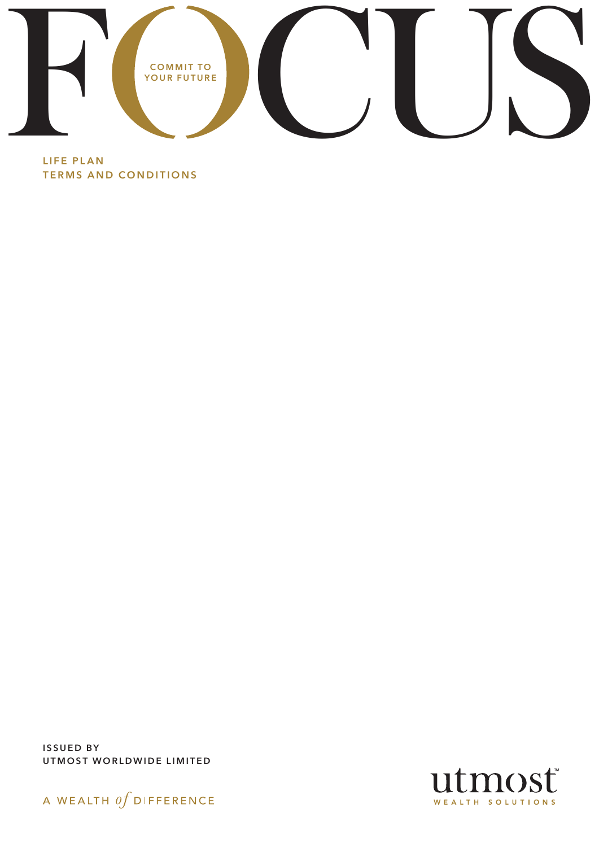

LIFE PLAN TERMS AND CONDITIONS

ISSUED BY UTMOST WORLDWIDE LIMITED



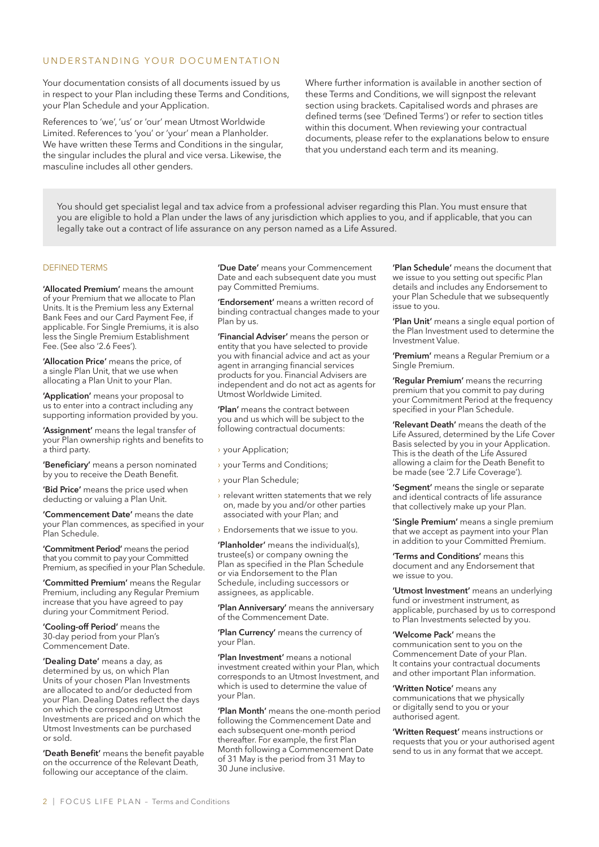### UNDERSTANDING YOUR DOCUMENTATION

Your documentation consists of all documents issued by us in respect to your Plan including these Terms and Conditions, your Plan Schedule and your Application.

References to 'we', 'us' or 'our' mean Utmost Worldwide Limited. References to 'you' or 'your' mean a Planholder. We have written these Terms and Conditions in the singular, the singular includes the plural and vice versa. Likewise, the masculine includes all other genders.

Where further information is available in another section of these Terms and Conditions, we will signpost the relevant section using brackets. Capitalised words and phrases are defined terms (see 'Defined Terms') or refer to section titles within this document. When reviewing your contractual documents, please refer to the explanations below to ensure that you understand each term and its meaning.

You should get specialist legal and tax advice from a professional adviser regarding this Plan. You must ensure that you are eligible to hold a Plan under the laws of any jurisdiction which applies to you, and if applicable, that you can legally take out a contract of life assurance on any person named as a Life Assured.

#### DEFINED TERMS

'Allocated Premium' means the amount of your Premium that we allocate to Plan Units. It is the Premium less any External Bank Fees and our Card Payment Fee, if applicable. For Single Premiums, it is also less the Single Premium Establishment Fee. (See also '2.6 Fees').

'Allocation Price' means the price, of a single Plan Unit, that we use when allocating a Plan Unit to your Plan.

'Application' means your proposal to us to enter into a contract including any supporting information provided by you.

'Assignment' means the legal transfer of your Plan ownership rights and benefits to a third party.

'Beneficiary' means a person nominated by you to receive the Death Benefit.

'Bid Price' means the price used when deducting or valuing a Plan Unit.

'Commencement Date' means the date your Plan commences, as specified in your Plan Schedule.

'Commitment Period' means the period that you commit to pay your Committed Premium, as specified in your Plan Schedule.

'Committed Premium' means the Regular Premium, including any Regular Premium increase that you have agreed to pay during your Commitment Period.

'Cooling-off Period' means the 30-day period from your Plan's Commencement Date.

'Dealing Date' means a day, as determined by us, on which Plan Units of your chosen Plan Investments are allocated to and/or deducted from your Plan. Dealing Dates reflect the days on which the corresponding Utmost Investments are priced and on which the Utmost Investments can be purchased or sold.

'Death Benefit' means the benefit payable on the occurrence of the Relevant Death, following our acceptance of the claim.

'Due Date' means your Commencement Date and each subsequent date you must pay Committed Premiums.

'Endorsement' means a written record of binding contractual changes made to your Plan by us.

'Financial Adviser' means the person or entity that you have selected to provide you with financial advice and act as your agent in arranging financial services products for you. Financial Advisers are independent and do not act as agents for Utmost Worldwide Limited.

'Plan' means the contract between you and us which will be subject to the following contractual documents:

- › your Application;
- › your Terms and Conditions;
- › your Plan Schedule;
- $\rightarrow$  relevant written statements that we rely on, made by you and/or other parties associated with your Plan; and
- $\rightarrow$  Endorsements that we issue to you.

'Planholder' means the individual(s), trustee(s) or company owning the Plan as specified in the Plan Schedule or via Endorsement to the Plan Schedule, including successors or assignees, as applicable.

'Plan Anniversary' means the anniversary of the Commencement Date.

'Plan Currency' means the currency of your Plan.

'Plan Investment' means a notional investment created within your Plan, which corresponds to an Utmost Investment, and which is used to determine the value of your Plan.

'Plan Month' means the one-month period following the Commencement Date and each subsequent one-month period thereafter. For example, the first Plan Month following a Commencement Date of 31 May is the period from 31 May to 30 June inclusive.

'Plan Schedule' means the document that we issue to you setting out specific Plan details and includes any Endorsement to your Plan Schedule that we subsequently issue to you.

'Plan Unit' means a single equal portion of the Plan Investment used to determine the Investment Value.

'Premium' means a Regular Premium or a Single Premium.

'Regular Premium' means the recurring premium that you commit to pay during your Commitment Period at the frequency specified in your Plan Schedule.

'Relevant Death' means the death of the Life Assured, determined by the Life Cover Basis selected by you in your Application. This is the death of the Life Assured allowing a claim for the Death Benefit to be made (see '2.7 Life Coverage').

'Segment' means the single or separate and identical contracts of life assurance that collectively make up your Plan.

'Single Premium' means a single premium that we accept as payment into your Plan in addition to your Committed Premium.

'Terms and Conditions' means this document and any Endorsement that we issue to you.

'Utmost Investment' means an underlying fund or investment instrument, as applicable, purchased by us to correspond to Plan Investments selected by you.

'Welcome Pack' means the communication sent to you on the Commencement Date of your Plan. It contains your contractual documents and other important Plan information.

'Written Notice' means any communications that we physically or digitally send to you or your authorised agent.

'Written Request' means instructions or requests that you or your authorised agent send to us in any format that we accept.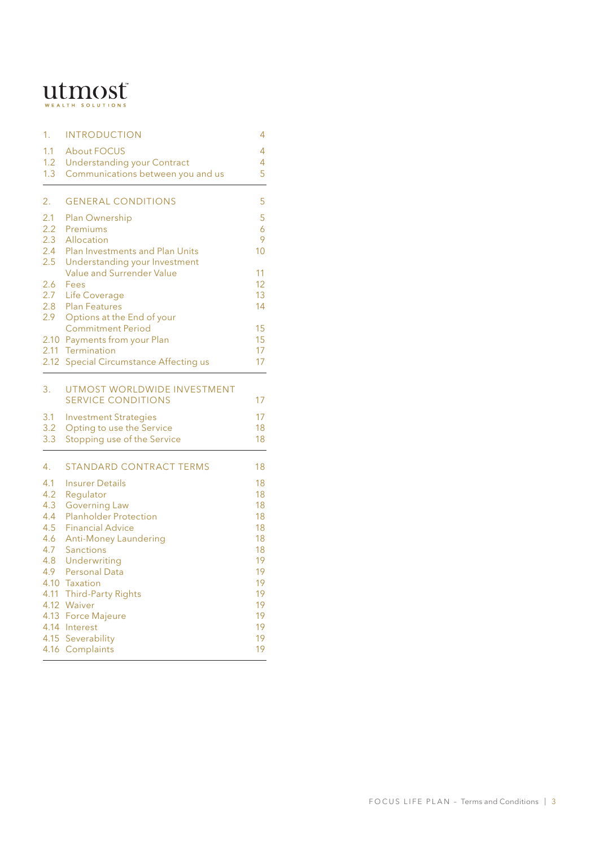# $\mathbf{u}$ tmsolutions

| 1.            | <b>INTRODUCTION</b>                   | 4        |
|---------------|---------------------------------------|----------|
| 1.1           | <b>About FOCUS</b>                    | 4        |
| 1.2           | <b>Understanding your Contract</b>    | 4        |
| 1.3           | Communications between you and us     | 5        |
| 2.            | <b>GENERAL CONDITIONS</b>             | 5        |
| 2.1           | Plan Ownership                        | 5        |
| $2.2^{\circ}$ | Premiums                              | 6        |
| 2.3           | Allocation                            | 9        |
|               | 2.4 Plan Investments and Plan Units   | 10       |
| 2.5           | Understanding your Investment         |          |
|               | Value and Surrender Value             | 11       |
| 2.6<br>2.7    | Fees                                  | 12<br>13 |
| 2.8           | Life Coverage<br><b>Plan Features</b> | 14       |
| $2.9^{\circ}$ | Options at the End of your            |          |
|               | <b>Commitment Period</b>              | 15       |
|               | 2.10 Payments from your Plan          | 15       |
| 2.11          | Termination                           | 17       |
| 2.12          | Special Circumstance Affecting us     | 17       |
| 3.            | UTMOST WORLDWIDE INVESTMENT           |          |
|               | <b>SERVICE CONDITIONS</b>             | 17       |
| 3.1           | <b>Investment Strategies</b>          | 17       |
| 3.2           | Opting to use the Service             | 18       |
| 3.3           | Stopping use of the Service           | 18       |
| 4.            | <b>STANDARD CONTRACT TERMS</b>        | 18       |
| 4.1           | <b>Insurer Details</b>                | 18       |
| 4.2           | Regulator                             | 18       |
| 4.3           | <b>Governing Law</b>                  | 18       |
| 4.4           | <b>Planholder Protection</b>          | 18       |
| 4.5           | <b>Financial Advice</b>               | 18       |
| 4.6           | <b>Anti-Money Laundering</b>          | 18       |
| 4.7<br>4.8    | Sanctions<br>Underwriting             | 18<br>19 |
| 4.9           | <b>Personal Data</b>                  | 19       |
| 4.10          | Taxation                              | 19       |
| 4.11          | <b>Third-Party Rights</b>             | 19       |
| 4.12          | Waiver                                | 19       |
| 4.13          | <b>Force Majeure</b>                  | 19       |
| 4.14          | Interest                              | 19       |
| 4.15          | Severability                          | 19       |
| 4.16          | Complaints                            | 19       |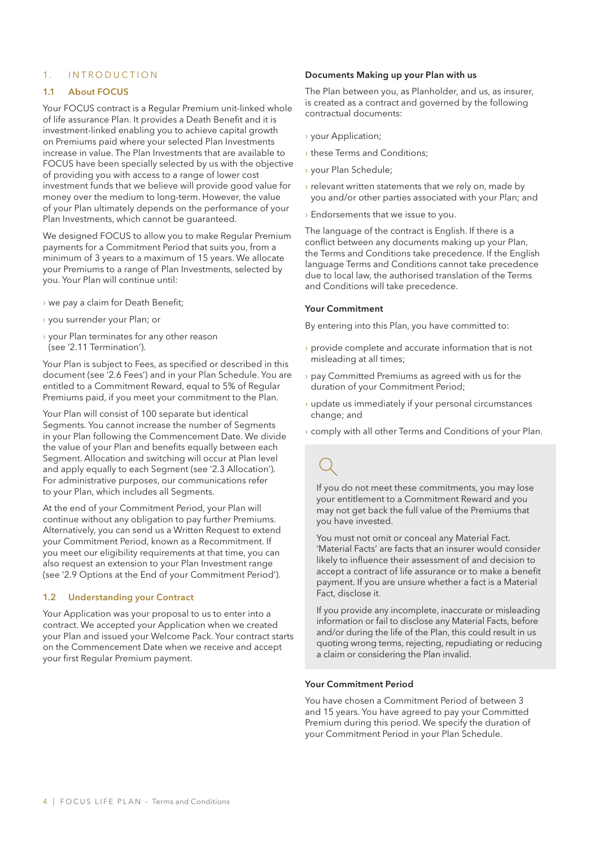### 1. INTRODUCTION

#### 1.1 About FOCUS

Your FOCUS contract is a Regular Premium unit-linked whole of life assurance Plan. It provides a Death Benefit and it is investment-linked enabling you to achieve capital growth on Premiums paid where your selected Plan Investments increase in value. The Plan Investments that are available to FOCUS have been specially selected by us with the objective of providing you with access to a range of lower cost investment funds that we believe will provide good value for money over the medium to long-term. However, the value of your Plan ultimately depends on the performance of your Plan Investments, which cannot be guaranteed.

We designed FOCUS to allow you to make Regular Premium payments for a Commitment Period that suits you, from a minimum of 3 years to a maximum of 15 years. We allocate your Premiums to a range of Plan Investments, selected by you. Your Plan will continue until:

- › we pay a claim for Death Benefit;
- › you surrender your Plan; or
- › your Plan terminates for any other reason (see '2.11 Termination').

Your Plan is subject to Fees, as specified or described in this document (see '2.6 Fees') and in your Plan Schedule. You are entitled to a Commitment Reward, equal to 5% of Regular Premiums paid, if you meet your commitment to the Plan.

Your Plan will consist of 100 separate but identical Segments. You cannot increase the number of Segments in your Plan following the Commencement Date. We divide the value of your Plan and benefits equally between each Segment. Allocation and switching will occur at Plan level and apply equally to each Segment (see '2.3 Allocation'). For administrative purposes, our communications refer to your Plan, which includes all Segments.

At the end of your Commitment Period, your Plan will continue without any obligation to pay further Premiums. Alternatively, you can send us a Written Request to extend your Commitment Period, known as a Recommitment. If you meet our eligibility requirements at that time, you can also request an extension to your Plan Investment range (see '2.9 Options at the End of your Commitment Period').

### 1.2 Understanding your Contract

Your Application was your proposal to us to enter into a contract. We accepted your Application when we created your Plan and issued your Welcome Pack. Your contract starts on the Commencement Date when we receive and accept your first Regular Premium payment.

#### Documents Making up your Plan with us

The Plan between you, as Planholder, and us, as insurer, is created as a contract and governed by the following contractual documents:

- › your Application;
- › these Terms and Conditions;
- › your Plan Schedule;
- › relevant written statements that we rely on, made by you and/or other parties associated with your Plan; and
- › Endorsements that we issue to you.

The language of the contract is English. If there is a conflict between any documents making up your Plan, the Terms and Conditions take precedence. If the English language Terms and Conditions cannot take precedence due to local law, the authorised translation of the Terms and Conditions will take precedence.

#### Your Commitment

By entering into this Plan, you have committed to:

- › provide complete and accurate information that is not misleading at all times;
- › pay Committed Premiums as agreed with us for the duration of your Commitment Period;
- › update us immediately if your personal circumstances change; and
- › comply with all other Terms and Conditions of your Plan.

If you do not meet these commitments, you may lose your entitlement to a Commitment Reward and you may not get back the full value of the Premiums that you have invested.

You must not omit or conceal any Material Fact. 'Material Facts' are facts that an insurer would consider likely to influence their assessment of and decision to accept a contract of life assurance or to make a benefit payment. If you are unsure whether a fact is a Material Fact, disclose it.

If you provide any incomplete, inaccurate or misleading information or fail to disclose any Material Facts, before and/or during the life of the Plan, this could result in us quoting wrong terms, rejecting, repudiating or reducing a claim or considering the Plan invalid.

#### Your Commitment Period

You have chosen a Commitment Period of between 3 and 15 years. You have agreed to pay your Committed Premium during this period. We specify the duration of your Commitment Period in your Plan Schedule.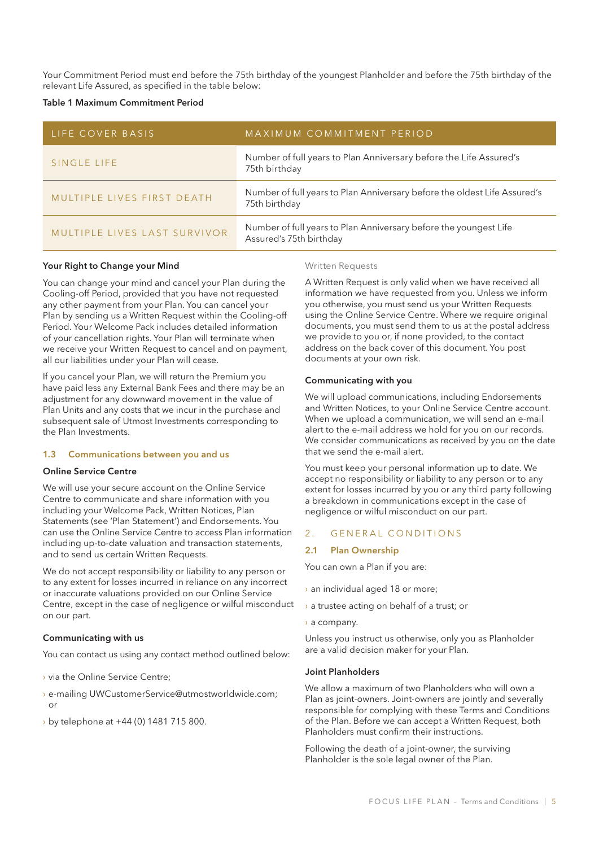Your Commitment Period must end before the 75th birthday of the youngest Planholder and before the 75th birthday of the relevant Life Assured, as specified in the table below:

#### Table 1 Maximum Commitment Period

| LIFE COVER BASIS             | MAXIMUM COMMITMENT PERIOD                                                                    |
|------------------------------|----------------------------------------------------------------------------------------------|
| SINGLE LIFE                  | Number of full years to Plan Anniversary before the Life Assured's<br>75th birthday          |
| MULTIPLE LIVES FIRST DEATH   | Number of full years to Plan Anniversary before the oldest Life Assured's<br>75th birthday   |
| MULTIPLE LIVES LAST SURVIVOR | Number of full years to Plan Anniversary before the youngest Life<br>Assured's 75th birthday |

### Your Right to Change your Mind

You can change your mind and cancel your Plan during the Cooling-off Period, provided that you have not requested any other payment from your Plan. You can cancel your Plan by sending us a Written Request within the Cooling-off Period. Your Welcome Pack includes detailed information of your cancellation rights. Your Plan will terminate when we receive your Written Request to cancel and on payment, all our liabilities under your Plan will cease.

If you cancel your Plan, we will return the Premium you have paid less any External Bank Fees and there may be an adjustment for any downward movement in the value of Plan Units and any costs that we incur in the purchase and subsequent sale of Utmost Investments corresponding to the Plan Investments.

#### 1.3 Communications between you and us

#### Online Service Centre

We will use your secure account on the Online Service Centre to communicate and share information with you including your Welcome Pack, Written Notices, Plan Statements (see 'Plan Statement') and Endorsements. You can use the Online Service Centre to access Plan information including up-to-date valuation and transaction statements, and to send us certain Written Requests.

We do not accept responsibility or liability to any person or to any extent for losses incurred in reliance on any incorrect or inaccurate valuations provided on our Online Service Centre, except in the case of negligence or wilful misconduct on our part.

#### Communicating with us

You can contact us using any contact method outlined below:

- › via the Online Service Centre;
- › e-mailing UWCustomerService@utmostworldwide.com; or
- › by telephone at +44 (0) 1481 715 800.

#### Written Requests

A Written Request is only valid when we have received all information we have requested from you. Unless we inform you otherwise, you must send us your Written Requests using the Online Service Centre. Where we require original documents, you must send them to us at the postal address we provide to you or, if none provided, to the contact address on the back cover of this document. You post documents at your own risk.

#### Communicating with you

We will upload communications, including Endorsements and Written Notices, to your Online Service Centre account. When we upload a communication, we will send an e-mail alert to the e-mail address we hold for you on our records. We consider communications as received by you on the date that we send the e-mail alert.

You must keep your personal information up to date. We accept no responsibility or liability to any person or to any extent for losses incurred by you or any third party following a breakdown in communications except in the case of negligence or wilful misconduct on our part.

#### 2. GENERAL CONDITIONS

#### 2.1 Plan Ownership

You can own a Plan if you are:

- › an individual aged 18 or more;
- › a trustee acting on behalf of a trust; or
- › a company.

Unless you instruct us otherwise, only you as Planholder are a valid decision maker for your Plan.

#### Joint Planholders

We allow a maximum of two Planholders who will own a Plan as joint-owners. Joint-owners are jointly and severally responsible for complying with these Terms and Conditions of the Plan. Before we can accept a Written Request, both Planholders must confirm their instructions.

Following the death of a joint-owner, the surviving Planholder is the sole legal owner of the Plan.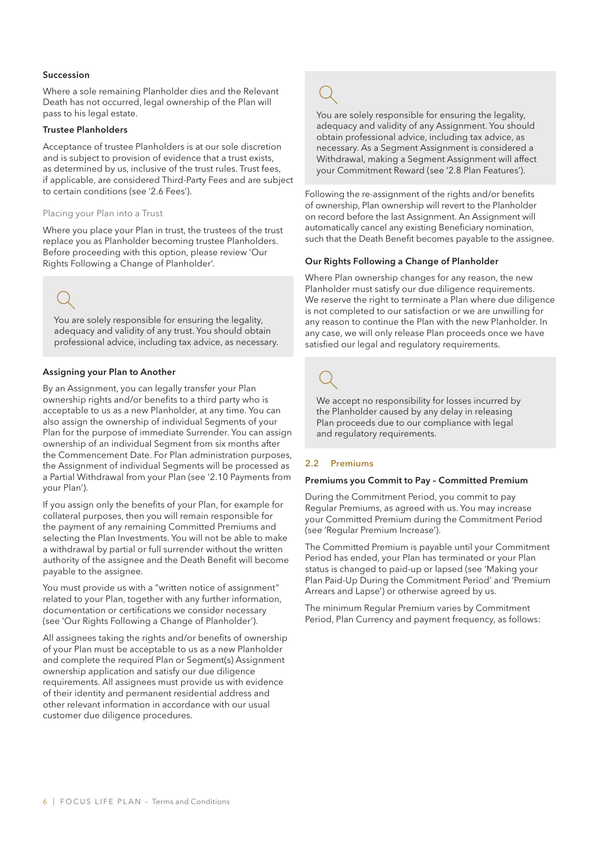#### Succession

Where a sole remaining Planholder dies and the Relevant Death has not occurred, legal ownership of the Plan will pass to his legal estate.

#### Trustee Planholders

Acceptance of trustee Planholders is at our sole discretion and is subject to provision of evidence that a trust exists, as determined by us, inclusive of the trust rules. Trust fees, if applicable, are considered Third-Party Fees and are subject to certain conditions (see '2.6 Fees').

#### Placing your Plan into a Trust

Where you place your Plan in trust, the trustees of the trust replace you as Planholder becoming trustee Planholders. Before proceeding with this option, please review 'Our Rights Following a Change of Planholder'.

professional advice, including tax advice, as necessary.

You are solely responsible for ensuring the legality, adequacy and validity of any trust. You should obtain

### Assigning your Plan to Another

By an Assignment, you can legally transfer your Plan ownership rights and/or benefits to a third party who is acceptable to us as a new Planholder, at any time. You can also assign the ownership of individual Segments of your Plan for the purpose of immediate Surrender. You can assign ownership of an individual Segment from six months after the Commencement Date. For Plan administration purposes, the Assignment of individual Segments will be processed as a Partial Withdrawal from your Plan (see '2.10 Payments from your Plan').

If you assign only the benefits of your Plan, for example for collateral purposes, then you will remain responsible for the payment of any remaining Committed Premiums and selecting the Plan Investments. You will not be able to make a withdrawal by partial or full surrender without the written authority of the assignee and the Death Benefit will become payable to the assignee.

You must provide us with a "written notice of assignment" related to your Plan, together with any further information, documentation or certifications we consider necessary (see 'Our Rights Following a Change of Planholder').

All assignees taking the rights and/or benefits of ownership of your Plan must be acceptable to us as a new Planholder and complete the required Plan or Segment(s) Assignment ownership application and satisfy our due diligence requirements. All assignees must provide us with evidence of their identity and permanent residential address and other relevant information in accordance with our usual customer due diligence procedures.

You are solely responsible for ensuring the legality, adequacy and validity of any Assignment. You should obtain professional advice, including tax advice, as necessary. As a Segment Assignment is considered a Withdrawal, making a Segment Assignment will affect your Commitment Reward (see '2.8 Plan Features').

Following the re-assignment of the rights and/or benefits of ownership, Plan ownership will revert to the Planholder on record before the last Assignment. An Assignment will automatically cancel any existing Beneficiary nomination, such that the Death Benefit becomes payable to the assignee.

### Our Rights Following a Change of Planholder

Where Plan ownership changes for any reason, the new Planholder must satisfy our due diligence requirements. We reserve the right to terminate a Plan where due diligence is not completed to our satisfaction or we are unwilling for any reason to continue the Plan with the new Planholder. In any case, we will only release Plan proceeds once we have satisfied our legal and regulatory requirements.

We accept no responsibility for losses incurred by the Planholder caused by any delay in releasing Plan proceeds due to our compliance with legal and regulatory requirements.

### 2.2 Premiums

#### Premiums you Commit to Pay – Committed Premium

During the Commitment Period, you commit to pay Regular Premiums, as agreed with us. You may increase your Committed Premium during the Commitment Period (see 'Regular Premium Increase').

The Committed Premium is payable until your Commitment Period has ended, your Plan has terminated or your Plan status is changed to paid-up or lapsed (see 'Making your Plan Paid-Up During the Commitment Period' and 'Premium Arrears and Lapse') or otherwise agreed by us.

The minimum Regular Premium varies by Commitment Period, Plan Currency and payment frequency, as follows: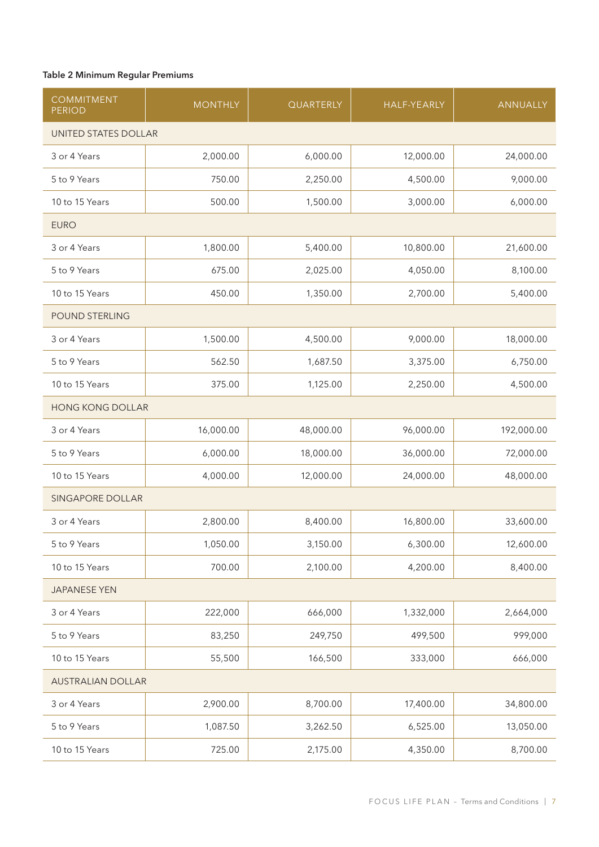### Table 2 Minimum Regular Premiums

| <b>COMMITMENT</b><br><b>PERIOD</b> | <b>MONTHLY</b> | QUARTERLY | <b>HALF-YEARLY</b> | <b>ANNUALLY</b> |
|------------------------------------|----------------|-----------|--------------------|-----------------|
| UNITED STATES DOLLAR               |                |           |                    |                 |
| 3 or 4 Years                       | 2,000.00       | 6,000.00  | 12,000.00          | 24,000.00       |
| 5 to 9 Years                       | 750.00         | 2,250.00  | 4,500.00           | 9,000.00        |
| 10 to 15 Years                     | 500.00         | 1,500.00  | 3,000.00           | 6,000.00        |
| <b>EURO</b>                        |                |           |                    |                 |
| 3 or 4 Years                       | 1,800.00       | 5,400.00  | 10,800.00          | 21,600.00       |
| 5 to 9 Years                       | 675.00         | 2,025.00  | 4,050.00           | 8,100.00        |
| 10 to 15 Years                     | 450.00         | 1,350.00  | 2,700.00           | 5,400.00        |
| <b>POUND STERLING</b>              |                |           |                    |                 |
| 3 or 4 Years                       | 1,500.00       | 4,500.00  | 9,000.00           | 18,000.00       |
| 5 to 9 Years                       | 562.50         | 1,687.50  | 3,375.00           | 6,750.00        |
| 10 to 15 Years                     | 375.00         | 1,125.00  | 2,250.00           | 4,500.00        |
| <b>HONG KONG DOLLAR</b>            |                |           |                    |                 |
| 3 or 4 Years                       | 16,000.00      | 48,000.00 | 96,000.00          | 192,000.00      |
| 5 to 9 Years                       | 6,000.00       | 18,000.00 | 36,000.00          | 72,000.00       |
| 10 to 15 Years                     | 4,000.00       | 12,000.00 | 24,000.00          | 48,000.00       |
| SINGAPORE DOLLAR                   |                |           |                    |                 |
| 3 or 4 Years                       | 2,800.00       | 8,400.00  | 16,800.00          | 33,600.00       |
| 5 to 9 Years                       | 1,050.00       | 3,150.00  | 6,300.00           | 12,600.00       |
| 10 to 15 Years                     | 700.00         | 2,100.00  | 4,200.00           | 8,400.00        |
| <b>JAPANESE YEN</b>                |                |           |                    |                 |
| 3 or 4 Years                       | 222,000        | 666,000   | 1,332,000          | 2,664,000       |
| 5 to 9 Years                       | 83,250         | 249,750   | 499,500            | 999,000         |
| 10 to 15 Years                     | 55,500         | 166,500   | 333,000            | 666,000         |
| <b>AUSTRALIAN DOLLAR</b>           |                |           |                    |                 |
| 3 or 4 Years                       | 2,900.00       | 8,700.00  | 17,400.00          | 34,800.00       |
| 5 to 9 Years                       | 1,087.50       | 3,262.50  | 6,525.00           | 13,050.00       |
| 10 to 15 Years                     | 725.00         | 2,175.00  | 4,350.00           | 8,700.00        |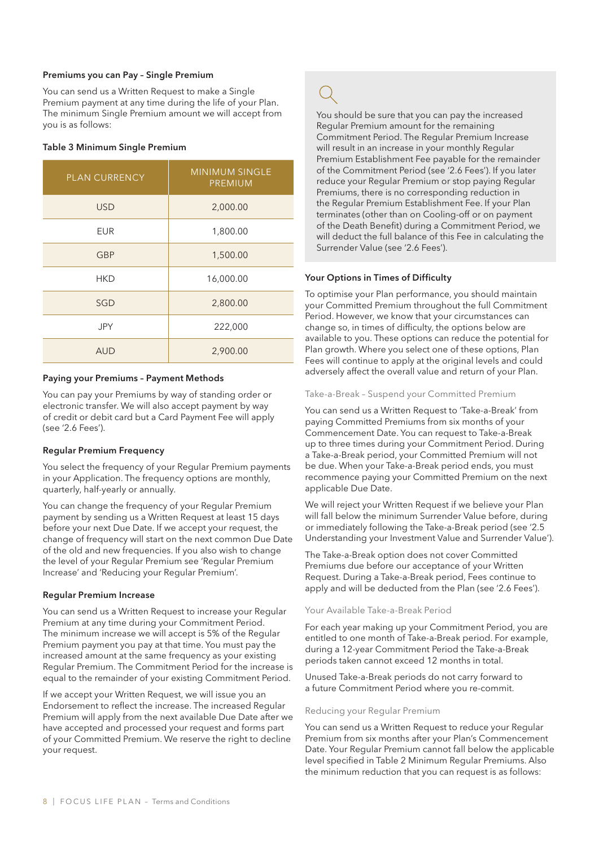### Premiums you can Pay – Single Premium

You can send us a Written Request to make a Single Premium payment at any time during the life of your Plan. The minimum Single Premium amount we will accept from you is as follows:

#### Table 3 Minimum Single Premium

| <b>PLAN CURRENCY</b> | <b>MINIMUM SINGLE</b><br><b>PREMIUM</b> |
|----------------------|-----------------------------------------|
| <b>USD</b>           | 2,000.00                                |
| <b>EUR</b>           | 1,800.00                                |
| <b>GBP</b>           | 1,500.00                                |
| HKD                  | 16,000.00                               |
| SGD                  | 2,800.00                                |
| <b>JPY</b>           | 222,000                                 |
| <b>AUD</b>           | 2,900.00                                |

#### Paying your Premiums – Payment Methods

You can pay your Premiums by way of standing order or electronic transfer. We will also accept payment by way of credit or debit card but a Card Payment Fee will apply (see '2.6 Fees').

### Regular Premium Frequency

You select the frequency of your Regular Premium payments in your Application. The frequency options are monthly, quarterly, half-yearly or annually.

You can change the frequency of your Regular Premium payment by sending us a Written Request at least 15 days before your next Due Date. If we accept your request, the change of frequency will start on the next common Due Date of the old and new frequencies. If you also wish to change the level of your Regular Premium see 'Regular Premium Increase' and 'Reducing your Regular Premium'.

#### Regular Premium Increase

You can send us a Written Request to increase your Regular Premium at any time during your Commitment Period. The minimum increase we will accept is 5% of the Regular Premium payment you pay at that time. You must pay the increased amount at the same frequency as your existing Regular Premium. The Commitment Period for the increase is equal to the remainder of your existing Commitment Period.

If we accept your Written Request, we will issue you an Endorsement to reflect the increase. The increased Regular Premium will apply from the next available Due Date after we have accepted and processed your request and forms part of your Committed Premium. We reserve the right to decline your request.

You should be sure that you can pay the increased Regular Premium amount for the remaining Commitment Period. The Regular Premium Increase will result in an increase in your monthly Regular Premium Establishment Fee payable for the remainder of the Commitment Period (see '2.6 Fees'). If you later reduce your Regular Premium or stop paying Regular Premiums, there is no corresponding reduction in the Regular Premium Establishment Fee. If your Plan terminates (other than on Cooling-off or on payment of the Death Benefit) during a Commitment Period, we will deduct the full balance of this Fee in calculating the Surrender Value (see '2.6 Fees').

### Your Options in Times of Difficulty

To optimise your Plan performance, you should maintain your Committed Premium throughout the full Commitment Period. However, we know that your circumstances can change so, in times of difficulty, the options below are available to you. These options can reduce the potential for Plan growth. Where you select one of these options, Plan Fees will continue to apply at the original levels and could adversely affect the overall value and return of your Plan.

#### Take-a-Break – Suspend your Committed Premium

You can send us a Written Request to 'Take-a-Break' from paying Committed Premiums from six months of your Commencement Date. You can request to Take-a-Break up to three times during your Commitment Period. During a Take-a-Break period, your Committed Premium will not be due. When your Take-a-Break period ends, you must recommence paying your Committed Premium on the next applicable Due Date.

We will reject your Written Request if we believe your Plan will fall below the minimum Surrender Value before, during or immediately following the Take-a-Break period (see '2.5 Understanding your Investment Value and Surrender Value').

The Take-a-Break option does not cover Committed Premiums due before our acceptance of your Written Request. During a Take-a-Break period, Fees continue to apply and will be deducted from the Plan (see '2.6 Fees').

### Your Available Take-a-Break Period

For each year making up your Commitment Period, you are entitled to one month of Take-a-Break period. For example, during a 12-year Commitment Period the Take-a-Break periods taken cannot exceed 12 months in total.

Unused Take-a-Break periods do not carry forward to a future Commitment Period where you re-commit.

#### Reducing your Regular Premium

You can send us a Written Request to reduce your Regular Premium from six months after your Plan's Commencement Date. Your Regular Premium cannot fall below the applicable level specified in Table 2 Minimum Regular Premiums. Also the minimum reduction that you can request is as follows: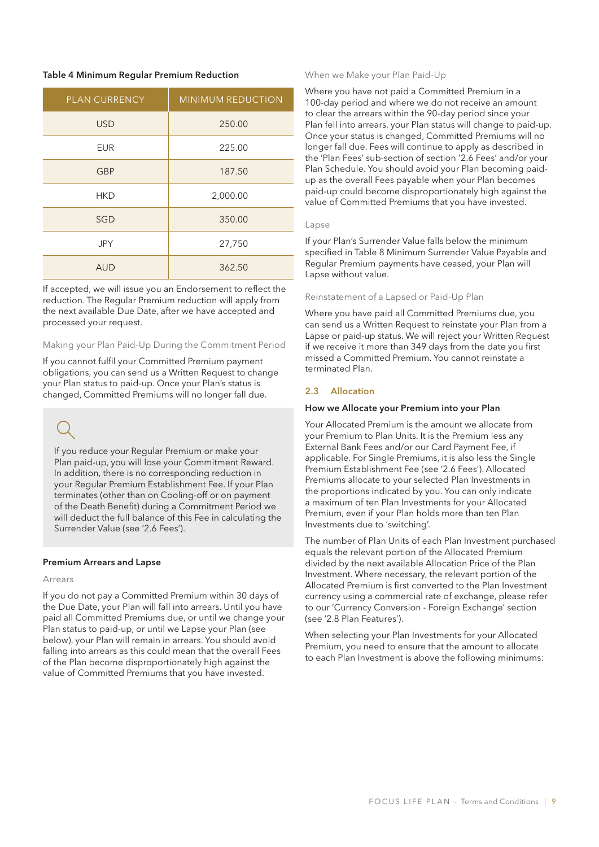#### Table 4 Minimum Regular Premium Reduction

| PLAN CURRENCY | MINIMUM REDUCTION |
|---------------|-------------------|
| <b>USD</b>    | 250.00            |
| <b>EUR</b>    | 225.00            |
| <b>GBP</b>    | 187.50            |
| <b>HKD</b>    | 2,000.00          |
| SGD           | 350.00            |
| <b>JPY</b>    | 27,750            |
| <b>AUD</b>    | 362.50            |

If accepted, we will issue you an Endorsement to reflect the reduction. The Regular Premium reduction will apply from the next available Due Date, after we have accepted and processed your request.

#### Making your Plan Paid-Up During the Commitment Period

If you cannot fulfil your Committed Premium payment obligations, you can send us a Written Request to change your Plan status to paid-up. Once your Plan's status is changed, Committed Premiums will no longer fall due.

If you reduce your Regular Premium or make your Plan paid-up, you will lose your Commitment Reward. In addition, there is no corresponding reduction in your Regular Premium Establishment Fee. If your Plan terminates (other than on Cooling-off or on payment of the Death Benefit) during a Commitment Period we will deduct the full balance of this Fee in calculating the Surrender Value (see '2.6 Fees').

### Premium Arrears and Lapse

#### Arrears

If you do not pay a Committed Premium within 30 days of the Due Date, your Plan will fall into arrears. Until you have paid all Committed Premiums due, or until we change your Plan status to paid-up, or until we Lapse your Plan (see below), your Plan will remain in arrears. You should avoid falling into arrears as this could mean that the overall Fees of the Plan become disproportionately high against the value of Committed Premiums that you have invested.

#### When we Make your Plan Paid-Up

Where you have not paid a Committed Premium in a 100-day period and where we do not receive an amount to clear the arrears within the 90-day period since your Plan fell into arrears, your Plan status will change to paid-up. Once your status is changed, Committed Premiums will no longer fall due. Fees will continue to apply as described in the 'Plan Fees' sub-section of section '2.6 Fees' and/or your Plan Schedule. You should avoid your Plan becoming paidup as the overall Fees payable when your Plan becomes paid-up could become disproportionately high against the value of Committed Premiums that you have invested.

#### Lapse

If your Plan's Surrender Value falls below the minimum specified in Table 8 Minimum Surrender Value Payable and Regular Premium payments have ceased, your Plan will Lapse without value.

#### Reinstatement of a Lapsed or Paid-Up Plan

Where you have paid all Committed Premiums due, you can send us a Written Request to reinstate your Plan from a Lapse or paid-up status. We will reject your Written Request if we receive it more than 349 days from the date you first missed a Committed Premium. You cannot reinstate a terminated Plan.

### 2.3 Allocation

#### How we Allocate your Premium into your Plan

Your Allocated Premium is the amount we allocate from your Premium to Plan Units. It is the Premium less any External Bank Fees and/or our Card Payment Fee, if applicable. For Single Premiums, it is also less the Single Premium Establishment Fee (see '2.6 Fees'). Allocated Premiums allocate to your selected Plan Investments in the proportions indicated by you. You can only indicate a maximum of ten Plan Investments for your Allocated Premium, even if your Plan holds more than ten Plan Investments due to 'switching'.

The number of Plan Units of each Plan Investment purchased equals the relevant portion of the Allocated Premium divided by the next available Allocation Price of the Plan Investment. Where necessary, the relevant portion of the Allocated Premium is first converted to the Plan Investment currency using a commercial rate of exchange, please refer to our 'Currency Conversion - Foreign Exchange' section (see '2.8 Plan Features').

When selecting your Plan Investments for your Allocated Premium, you need to ensure that the amount to allocate to each Plan Investment is above the following minimums: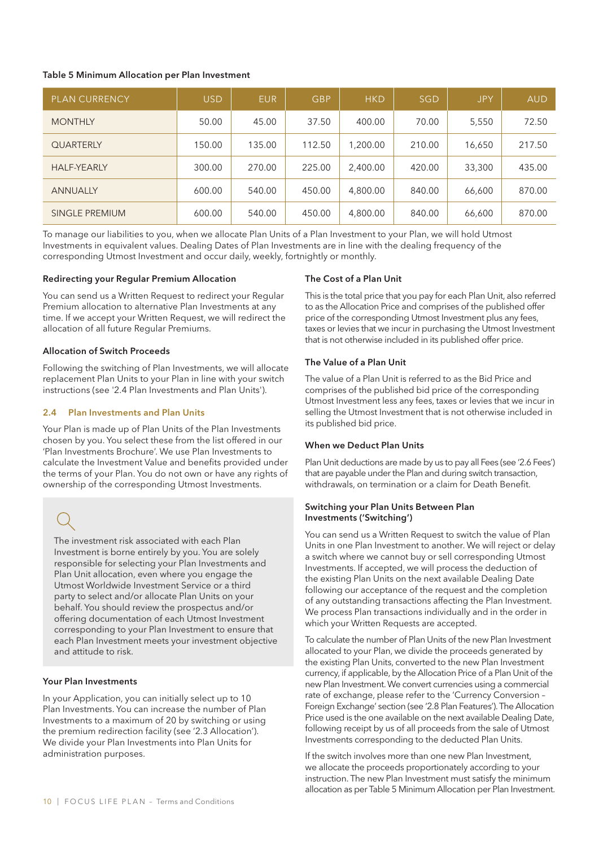#### Table 5 Minimum Allocation per Plan Investment

| <b>PLAN CURRENCY</b> | <b>USD</b> | <b>EUR</b> | <b>GBP</b> | <b>HKD</b> | <b>SGD</b> | <b>JPY</b> | <b>AUD</b> |
|----------------------|------------|------------|------------|------------|------------|------------|------------|
| <b>MONTHLY</b>       | 50.00      | 45.00      | 37.50      | 400.00     | 70.00      | 5,550      | 72.50      |
| <b>QUARTERLY</b>     | 150.00     | 135.00     | 112.50     | 1,200.00   | 210.00     | 16,650     | 217.50     |
| <b>HALF-YEARLY</b>   | 300.00     | 270.00     | 225.00     | 2,400.00   | 420.00     | 33,300     | 435.00     |
| <b>ANNUALLY</b>      | 600.00     | 540.00     | 450.00     | 4,800.00   | 840.00     | 66,600     | 870.00     |
| SINGLE PREMIUM       | 600.00     | 540.00     | 450.00     | 4,800.00   | 840.00     | 66,600     | 870.00     |

To manage our liabilities to you, when we allocate Plan Units of a Plan Investment to your Plan, we will hold Utmost Investments in equivalent values. Dealing Dates of Plan Investments are in line with the dealing frequency of the corresponding Utmost Investment and occur daily, weekly, fortnightly or monthly.

### Redirecting your Regular Premium Allocation

You can send us a Written Request to redirect your Regular Premium allocation to alternative Plan Investments at any time. If we accept your Written Request, we will redirect the allocation of all future Regular Premiums.

### Allocation of Switch Proceeds

Following the switching of Plan Investments, we will allocate replacement Plan Units to your Plan in line with your switch instructions (see '2.4 Plan Investments and Plan Units').

#### 2.4 Plan Investments and Plan Units

Your Plan is made up of Plan Units of the Plan Investments chosen by you. You select these from the list offered in our 'Plan Investments Brochure'. We use Plan Investments to calculate the Investment Value and benefits provided under the terms of your Plan. You do not own or have any rights of ownership of the corresponding Utmost Investments.

The investment risk associated with each Plan Investment is borne entirely by you. You are solely responsible for selecting your Plan Investments and Plan Unit allocation, even where you engage the Utmost Worldwide Investment Service or a third party to select and/or allocate Plan Units on your behalf. You should review the prospectus and/or offering documentation of each Utmost Investment corresponding to your Plan Investment to ensure that each Plan Investment meets your investment objective and attitude to risk.

### Your Plan Investments

In your Application, you can initially select up to 10 Plan Investments. You can increase the number of Plan Investments to a maximum of 20 by switching or using the premium redirection facility (see '2.3 Allocation'). We divide your Plan Investments into Plan Units for administration purposes.

#### The Cost of a Plan Unit

This is the total price that you pay for each Plan Unit, also referred to as the Allocation Price and comprises of the published offer price of the corresponding Utmost Investment plus any fees, taxes or levies that we incur in purchasing the Utmost Investment that is not otherwise included in its published offer price.

#### The Value of a Plan Unit

The value of a Plan Unit is referred to as the Bid Price and comprises of the published bid price of the corresponding Utmost Investment less any fees, taxes or levies that we incur in selling the Utmost Investment that is not otherwise included in its published bid price.

#### When we Deduct Plan Units

Plan Unit deductions are made by us to pay all Fees (see '2.6 Fees') that are payable under the Plan and during switch transaction, withdrawals, on termination or a claim for Death Benefit.

#### Switching your Plan Units Between Plan Investments ('Switching')

You can send us a Written Request to switch the value of Plan Units in one Plan Investment to another. We will reject or delay a switch where we cannot buy or sell corresponding Utmost Investments. If accepted, we will process the deduction of the existing Plan Units on the next available Dealing Date following our acceptance of the request and the completion of any outstanding transactions affecting the Plan Investment. We process Plan transactions individually and in the order in which your Written Requests are accepted.

To calculate the number of Plan Units of the new Plan Investment allocated to your Plan, we divide the proceeds generated by the existing Plan Units, converted to the new Plan Investment currency, if applicable, by the Allocation Price of a Plan Unit of the new Plan Investment. We convert currencies using a commercial rate of exchange, please refer to the 'Currency Conversion – Foreign Exchange' section (see '2.8 Plan Features'). The Allocation Price used is the one available on the next available Dealing Date, following receipt by us of all proceeds from the sale of Utmost Investments corresponding to the deducted Plan Units.

If the switch involves more than one new Plan Investment, we allocate the proceeds proportionately according to your instruction. The new Plan Investment must satisfy the minimum allocation as per Table 5 Minimum Allocation per Plan Investment.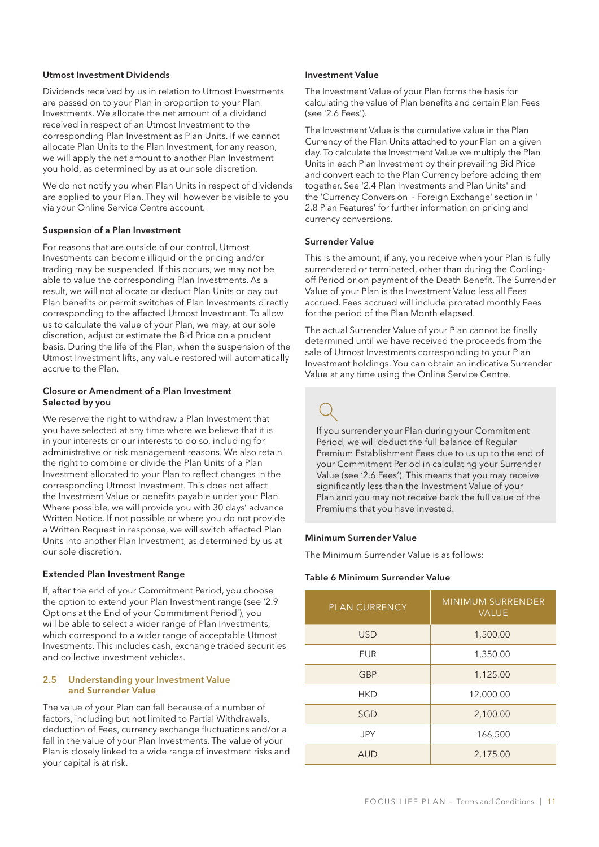#### Utmost Investment Dividends

Dividends received by us in relation to Utmost Investments are passed on to your Plan in proportion to your Plan Investments. We allocate the net amount of a dividend received in respect of an Utmost Investment to the corresponding Plan Investment as Plan Units. If we cannot allocate Plan Units to the Plan Investment, for any reason, we will apply the net amount to another Plan Investment you hold, as determined by us at our sole discretion.

We do not notify you when Plan Units in respect of dividends are applied to your Plan. They will however be visible to you via your Online Service Centre account.

### Suspension of a Plan Investment

For reasons that are outside of our control, Utmost Investments can become illiquid or the pricing and/or trading may be suspended. If this occurs, we may not be able to value the corresponding Plan Investments. As a result, we will not allocate or deduct Plan Units or pay out Plan benefits or permit switches of Plan Investments directly corresponding to the affected Utmost Investment. To allow us to calculate the value of your Plan, we may, at our sole discretion, adjust or estimate the Bid Price on a prudent basis. During the life of the Plan, when the suspension of the Utmost Investment lifts, any value restored will automatically accrue to the Plan.

### Closure or Amendment of a Plan Investment Selected by you

We reserve the right to withdraw a Plan Investment that you have selected at any time where we believe that it is in your interests or our interests to do so, including for administrative or risk management reasons. We also retain the right to combine or divide the Plan Units of a Plan Investment allocated to your Plan to reflect changes in the corresponding Utmost Investment. This does not affect the Investment Value or benefits payable under your Plan. Where possible, we will provide you with 30 days' advance Written Notice. If not possible or where you do not provide a Written Request in response, we will switch affected Plan Units into another Plan Investment, as determined by us at our sole discretion.

#### Extended Plan Investment Range

If, after the end of your Commitment Period, you choose the option to extend your Plan Investment range (see '2.9 Options at the End of your Commitment Period'), you will be able to select a wider range of Plan Investments, which correspond to a wider range of acceptable Utmost Investments. This includes cash, exchange traded securities and collective investment vehicles.

#### 2.5 Understanding your Investment Value and Surrender Value

The value of your Plan can fall because of a number of factors, including but not limited to Partial Withdrawals, deduction of Fees, currency exchange fluctuations and/or a fall in the value of your Plan Investments. The value of your Plan is closely linked to a wide range of investment risks and your capital is at risk.

#### Investment Value

The Investment Value of your Plan forms the basis for calculating the value of Plan benefits and certain Plan Fees (see '2.6 Fees').

The Investment Value is the cumulative value in the Plan Currency of the Plan Units attached to your Plan on a given day. To calculate the Investment Value we multiply the Plan Units in each Plan Investment by their prevailing Bid Price and convert each to the Plan Currency before adding them together. See '2.4 Plan Investments and Plan Units' and the 'Currency Conversion - Foreign Exchange' section in ' 2.8 Plan Features' for further information on pricing and currency conversions.

### Surrender Value

This is the amount, if any, you receive when your Plan is fully surrendered or terminated, other than during the Coolingoff Period or on payment of the Death Benefit. The Surrender Value of your Plan is the Investment Value less all Fees accrued. Fees accrued will include prorated monthly Fees for the period of the Plan Month elapsed.

The actual Surrender Value of your Plan cannot be finally determined until we have received the proceeds from the sale of Utmost Investments corresponding to your Plan Investment holdings. You can obtain an indicative Surrender Value at any time using the Online Service Centre.

If you surrender your Plan during your Commitment Period, we will deduct the full balance of Regular Premium Establishment Fees due to us up to the end of your Commitment Period in calculating your Surrender Value (see '2.6 Fees'). This means that you may receive significantly less than the Investment Value of your Plan and you may not receive back the full value of the Premiums that you have invested.

#### Minimum Surrender Value

The Minimum Surrender Value is as follows:

#### Table 6 Minimum Surrender Value

| <b>PLAN CURRENCY</b> | <b>MINIMUM SURRENDER</b><br><b>VALUE</b> |  |
|----------------------|------------------------------------------|--|
| <b>USD</b>           | 1,500.00                                 |  |
| <b>EUR</b>           | 1,350.00                                 |  |
| <b>GBP</b>           | 1,125.00                                 |  |
| <b>HKD</b>           | 12,000.00                                |  |
| SGD                  | 2,100.00                                 |  |
| <b>JPY</b>           | 166,500                                  |  |
| AUD                  | 2,175.00                                 |  |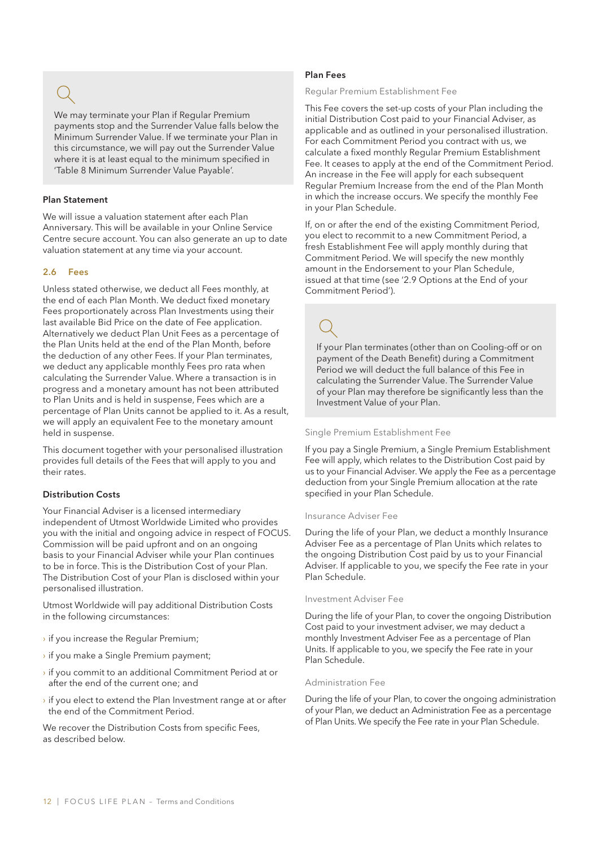We may terminate your Plan if Regular Premium payments stop and the Surrender Value falls below the Minimum Surrender Value. If we terminate your Plan in this circumstance, we will pay out the Surrender Value where it is at least equal to the minimum specified in 'Table 8 Minimum Surrender Value Payable'.

### Plan Statement

We will issue a valuation statement after each Plan Anniversary. This will be available in your Online Service Centre secure account. You can also generate an up to date valuation statement at any time via your account.

### 2.6 Fees

Unless stated otherwise, we deduct all Fees monthly, at the end of each Plan Month. We deduct fixed monetary Fees proportionately across Plan Investments using their last available Bid Price on the date of Fee application. Alternatively we deduct Plan Unit Fees as a percentage of the Plan Units held at the end of the Plan Month, before the deduction of any other Fees. If your Plan terminates, we deduct any applicable monthly Fees pro rata when calculating the Surrender Value. Where a transaction is in progress and a monetary amount has not been attributed to Plan Units and is held in suspense, Fees which are a percentage of Plan Units cannot be applied to it. As a result, we will apply an equivalent Fee to the monetary amount held in suspense.

This document together with your personalised illustration provides full details of the Fees that will apply to you and their rates.

#### Distribution Costs

Your Financial Adviser is a licensed intermediary independent of Utmost Worldwide Limited who provides you with the initial and ongoing advice in respect of FOCUS. Commission will be paid upfront and on an ongoing basis to your Financial Adviser while your Plan continues to be in force. This is the Distribution Cost of your Plan. The Distribution Cost of your Plan is disclosed within your personalised illustration.

Utmost Worldwide will pay additional Distribution Costs in the following circumstances:

- › if you increase the Regular Premium;
- › if you make a Single Premium payment;
- › if you commit to an additional Commitment Period at or after the end of the current one; and
- $\rightarrow$  if you elect to extend the Plan Investment range at or after the end of the Commitment Period.

We recover the Distribution Costs from specific Fees, as described below.

#### Plan Fees

#### Regular Premium Establishment Fee

This Fee covers the set-up costs of your Plan including the initial Distribution Cost paid to your Financial Adviser, as applicable and as outlined in your personalised illustration. For each Commitment Period you contract with us, we calculate a fixed monthly Regular Premium Establishment Fee. It ceases to apply at the end of the Commitment Period. An increase in the Fee will apply for each subsequent Regular Premium Increase from the end of the Plan Month in which the increase occurs. We specify the monthly Fee in your Plan Schedule.

If, on or after the end of the existing Commitment Period, you elect to recommit to a new Commitment Period, a fresh Establishment Fee will apply monthly during that Commitment Period. We will specify the new monthly amount in the Endorsement to your Plan Schedule, issued at that time (see '2.9 Options at the End of your Commitment Period').

If your Plan terminates (other than on Cooling-off or on payment of the Death Benefit) during a Commitment Period we will deduct the full balance of this Fee in calculating the Surrender Value. The Surrender Value of your Plan may therefore be significantly less than the Investment Value of your Plan.

#### Single Premium Establishment Fee

If you pay a Single Premium, a Single Premium Establishment Fee will apply, which relates to the Distribution Cost paid by us to your Financial Adviser. We apply the Fee as a percentage deduction from your Single Premium allocation at the rate specified in your Plan Schedule.

#### Insurance Adviser Fee

During the life of your Plan, we deduct a monthly Insurance Adviser Fee as a percentage of Plan Units which relates to the ongoing Distribution Cost paid by us to your Financial Adviser. If applicable to you, we specify the Fee rate in your Plan Schedule.

### Investment Adviser Fee

During the life of your Plan, to cover the ongoing Distribution Cost paid to your investment adviser, we may deduct a monthly Investment Adviser Fee as a percentage of Plan Units. If applicable to you, we specify the Fee rate in your Plan Schedule.

#### Administration Fee

During the life of your Plan, to cover the ongoing administration of your Plan, we deduct an Administration Fee as a percentage of Plan Units. We specify the Fee rate in your Plan Schedule.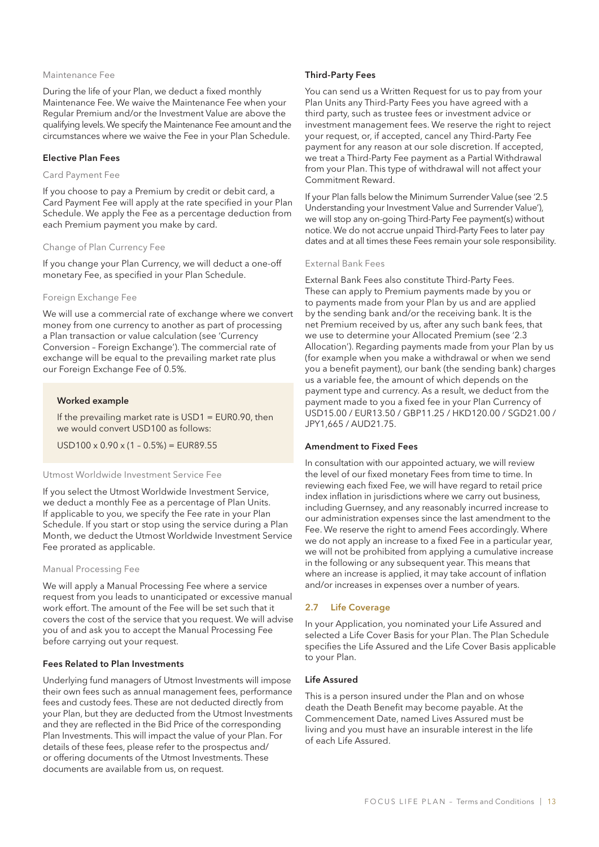#### Maintenance Fee

During the life of your Plan, we deduct a fixed monthly Maintenance Fee. We waive the Maintenance Fee when your Regular Premium and/or the Investment Value are above the qualifying levels. We specify the Maintenance Fee amount and the circumstances where we waive the Fee in your Plan Schedule.

#### Elective Plan Fees

#### Card Payment Fee

If you choose to pay a Premium by credit or debit card, a Card Payment Fee will apply at the rate specified in your Plan Schedule. We apply the Fee as a percentage deduction from each Premium payment you make by card.

#### Change of Plan Currency Fee

If you change your Plan Currency, we will deduct a one-off monetary Fee, as specified in your Plan Schedule.

#### Foreign Exchange Fee

We will use a commercial rate of exchange where we convert money from one currency to another as part of processing a Plan transaction or value calculation (see 'Currency Conversion – Foreign Exchange'). The commercial rate of exchange will be equal to the prevailing market rate plus our Foreign Exchange Fee of 0.5%.

#### Worked example

If the prevailing market rate is  $USD1 = EUR0.90$ , then we would convert USD100 as follows:

 $USD100 \times 0.90 \times (1 - 0.5\%) = EUR89.55$ 

#### Utmost Worldwide Investment Service Fee

If you select the Utmost Worldwide Investment Service, we deduct a monthly Fee as a percentage of Plan Units. If applicable to you, we specify the Fee rate in your Plan Schedule. If you start or stop using the service during a Plan Month, we deduct the Utmost Worldwide Investment Service Fee prorated as applicable.

#### Manual Processing Fee

We will apply a Manual Processing Fee where a service request from you leads to unanticipated or excessive manual work effort. The amount of the Fee will be set such that it covers the cost of the service that you request. We will advise you of and ask you to accept the Manual Processing Fee before carrying out your request.

#### Fees Related to Plan Investments

Underlying fund managers of Utmost Investments will impose their own fees such as annual management fees, performance fees and custody fees. These are not deducted directly from your Plan, but they are deducted from the Utmost Investments and they are reflected in the Bid Price of the corresponding Plan Investments. This will impact the value of your Plan. For details of these fees, please refer to the prospectus and/ or offering documents of the Utmost Investments. These documents are available from us, on request.

#### Third-Party Fees

You can send us a Written Request for us to pay from your Plan Units any Third-Party Fees you have agreed with a third party, such as trustee fees or investment advice or investment management fees. We reserve the right to reject your request, or, if accepted, cancel any Third-Party Fee payment for any reason at our sole discretion. If accepted, we treat a Third-Party Fee payment as a Partial Withdrawal from your Plan. This type of withdrawal will not affect your Commitment Reward.

If your Plan falls below the Minimum Surrender Value (see '2.5 Understanding your Investment Value and Surrender Value'), we will stop any on-going Third-Party Fee payment(s) without notice. We do not accrue unpaid Third-Party Fees to later pay dates and at all times these Fees remain your sole responsibility.

#### External Bank Fees

External Bank Fees also constitute Third-Party Fees. These can apply to Premium payments made by you or to payments made from your Plan by us and are applied by the sending bank and/or the receiving bank. It is the net Premium received by us, after any such bank fees, that we use to determine your Allocated Premium (see '2.3 Allocation'). Regarding payments made from your Plan by us (for example when you make a withdrawal or when we send you a benefit payment), our bank (the sending bank) charges us a variable fee, the amount of which depends on the payment type and currency. As a result, we deduct from the payment made to you a fixed fee in your Plan Currency of USD15.00 / EUR13.50 / GBP11.25 / HKD120.00 / SGD21.00 / JPY1,665 / AUD21.75.

#### Amendment to Fixed Fees

In consultation with our appointed actuary, we will review the level of our fixed monetary Fees from time to time. In reviewing each fixed Fee, we will have regard to retail price index inflation in jurisdictions where we carry out business, including Guernsey, and any reasonably incurred increase to our administration expenses since the last amendment to the Fee. We reserve the right to amend Fees accordingly. Where we do not apply an increase to a fixed Fee in a particular year, we will not be prohibited from applying a cumulative increase in the following or any subsequent year. This means that where an increase is applied, it may take account of inflation and/or increases in expenses over a number of years.

#### 2.7 Life Coverage

In your Application, you nominated your Life Assured and selected a Life Cover Basis for your Plan. The Plan Schedule specifies the Life Assured and the Life Cover Basis applicable to your Plan.

#### Life Assured

This is a person insured under the Plan and on whose death the Death Benefit may become payable. At the Commencement Date, named Lives Assured must be living and you must have an insurable interest in the life of each Life Assured.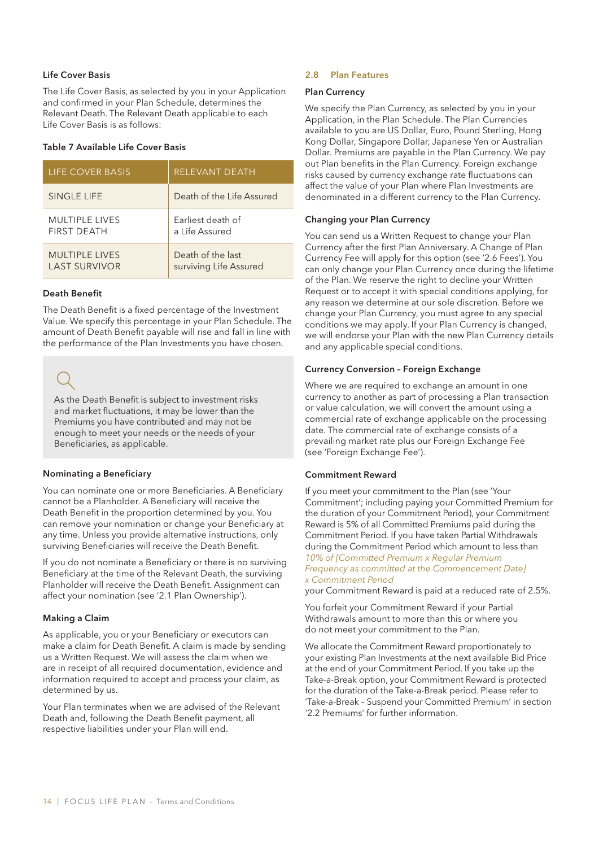### Life Cover Basis

The Life Cover Basis, as selected by you in your Application and confirmed in your Plan Schedule, determines the Relevant Death. The Relevant Death applicable to each Life Cover Basis is as follows:

#### Table 7 Available Life Cover Basis

| <b>LIFE COVER BASIS</b> | <b>RELEVANT DEATH</b>     |
|-------------------------|---------------------------|
| <b>SINGLE LIFE</b>      | Death of the Life Assured |
| <b>MULTIPLE LIVES</b>   | Earliest death of         |
| <b>FIRST DEATH</b>      | a Life Assured            |
| <b>MULTIPLE LIVES</b>   | Death of the last         |
| <b>LAST SURVIVOR</b>    | surviving Life Assured    |

#### Death Benefit

The Death Benefit is a fixed percentage of the Investment Value. We specify this percentage in your Plan Schedule. The amount of Death Benefit payable will rise and fall in line with the performance of the Plan Investments you have chosen.

As the Death Benefit is subject to investment risks and market fluctuations, it may be lower than the Premiums you have contributed and may not be enough to meet your needs or the needs of your Beneficiaries, as applicable.

### Nominating a Beneficiary

You can nominate one or more Beneficiaries. A Beneficiary cannot be a Planholder. A Beneficiary will receive the Death Benefit in the proportion determined by you. You can remove your nomination or change your Beneficiary at any time. Unless you provide alternative instructions, only surviving Beneficiaries will receive the Death Benefit.

If you do not nominate a Beneficiary or there is no surviving Beneficiary at the time of the Relevant Death, the surviving Planholder will receive the Death Benefit. Assignment can affect your nomination (see '2.1 Plan Ownership').

### Making a Claim

As applicable, you or your Beneficiary or executors can make a claim for Death Benefit. A claim is made by sending us a Written Request. We will assess the claim when we are in receipt of all required documentation, evidence and information required to accept and process your claim, as determined by us.

Your Plan terminates when we are advised of the Relevant Death and, following the Death Benefit payment, all respective liabilities under your Plan will end.

#### 2.8 Plan Features

#### Plan Currency

We specify the Plan Currency, as selected by you in your Application, in the Plan Schedule. The Plan Currencies available to you are US Dollar, Euro, Pound Sterling, Hong Kong Dollar, Singapore Dollar, Japanese Yen or Australian Dollar. Premiums are payable in the Plan Currency. We pay out Plan benefits in the Plan Currency. Foreign exchange risks caused by currency exchange rate fluctuations can affect the value of your Plan where Plan Investments are denominated in a different currency to the Plan Currency.

### Changing your Plan Currency

You can send us a Written Request to change your Plan Currency after the first Plan Anniversary. A Change of Plan Currency Fee will apply for this option (see '2.6 Fees'). You can only change your Plan Currency once during the lifetime of the Plan. We reserve the right to decline your Written Request or to accept it with special conditions applying, for any reason we determine at our sole discretion. Before we change your Plan Currency, you must agree to any special conditions we may apply. If your Plan Currency is changed, we will endorse your Plan with the new Plan Currency details and any applicable special conditions.

#### Currency Conversion – Foreign Exchange

Where we are required to exchange an amount in one currency to another as part of processing a Plan transaction or value calculation, we will convert the amount using a commercial rate of exchange applicable on the processing date. The commercial rate of exchange consists of a prevailing market rate plus our Foreign Exchange Fee (see 'Foreign Exchange Fee').

### Commitment Reward

If you meet your commitment to the Plan (see 'Your Commitment'; including paying your Committed Premium for the duration of your Commitment Period), your Commitment Reward is 5% of all Committed Premiums paid during the Commitment Period. If you have taken Partial Withdrawals during the Commitment Period which amount to less than *10% of [Committed Premium x Regular Premium Frequency as committed at the Commencement Date] x Commitment Period*

your Commitment Reward is paid at a reduced rate of 2.5%.

You forfeit your Commitment Reward if your Partial Withdrawals amount to more than this or where you do not meet your commitment to the Plan.

We allocate the Commitment Reward proportionately to your existing Plan Investments at the next available Bid Price at the end of your Commitment Period. If you take up the Take-a-Break option, your Commitment Reward is protected for the duration of the Take-a-Break period. Please refer to 'Take-a-Break – Suspend your Committed Premium' in section '2.2 Premiums' for further information.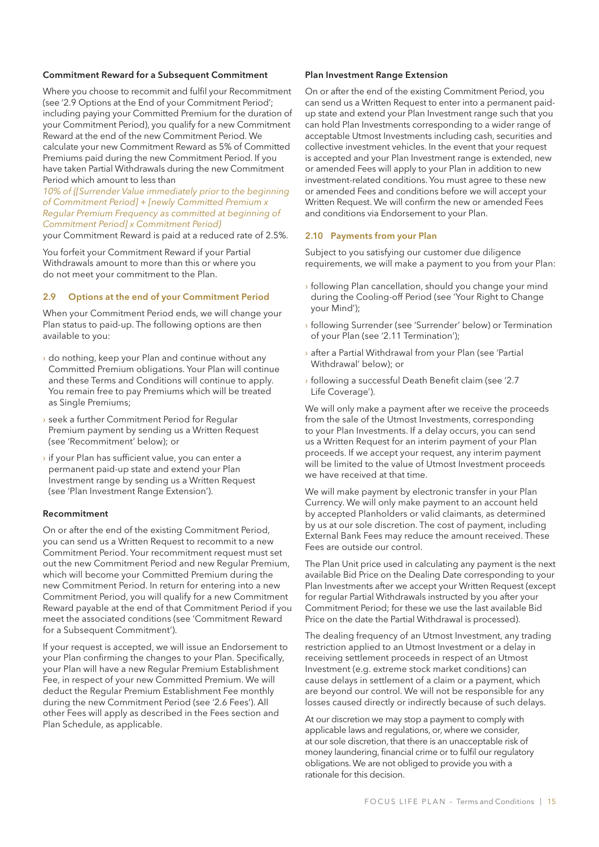#### Commitment Reward for a Subsequent Commitment

Where you choose to recommit and fulfil your Recommitment (see '2.9 Options at the End of your Commitment Period'; including paying your Committed Premium for the duration of your Commitment Period), you qualify for a new Commitment Reward at the end of the new Commitment Period. We calculate your new Commitment Reward as 5% of Committed Premiums paid during the new Commitment Period. If you have taken Partial Withdrawals during the new Commitment Period which amount to less than

*10% of {[Surrender Value immediately prior to the beginning of Commitment Period] + [newly Committed Premium x Regular Premium Frequency as committed at beginning of Commitment Period] x Commitment Period}*

your Commitment Reward is paid at a reduced rate of 2.5%.

You forfeit your Commitment Reward if your Partial Withdrawals amount to more than this or where you do not meet your commitment to the Plan.

#### 2.9 Options at the end of your Commitment Period

When your Commitment Period ends, we will change your Plan status to paid-up. The following options are then available to you:

- › do nothing, keep your Plan and continue without any Committed Premium obligations. Your Plan will continue and these Terms and Conditions will continue to apply. You remain free to pay Premiums which will be treated as Single Premiums;
- › seek a further Commitment Period for Regular Premium payment by sending us a Written Request (see 'Recommitment' below); or
- › if your Plan has sufficient value, you can enter a permanent paid-up state and extend your Plan Investment range by sending us a Written Request (see 'Plan Investment Range Extension').

#### Recommitment

On or after the end of the existing Commitment Period, you can send us a Written Request to recommit to a new Commitment Period. Your recommitment request must set out the new Commitment Period and new Regular Premium, which will become your Committed Premium during the new Commitment Period. In return for entering into a new Commitment Period, you will qualify for a new Commitment Reward payable at the end of that Commitment Period if you meet the associated conditions (see 'Commitment Reward for a Subsequent Commitment').

If your request is accepted, we will issue an Endorsement to your Plan confirming the changes to your Plan. Specifically, your Plan will have a new Regular Premium Establishment Fee, in respect of your new Committed Premium. We will deduct the Regular Premium Establishment Fee monthly during the new Commitment Period (see '2.6 Fees'). All other Fees will apply as described in the Fees section and Plan Schedule, as applicable.

#### Plan Investment Range Extension

On or after the end of the existing Commitment Period, you can send us a Written Request to enter into a permanent paidup state and extend your Plan Investment range such that you can hold Plan Investments corresponding to a wider range of acceptable Utmost Investments including cash, securities and collective investment vehicles. In the event that your request is accepted and your Plan Investment range is extended, new or amended Fees will apply to your Plan in addition to new investment-related conditions. You must agree to these new or amended Fees and conditions before we will accept your Written Request. We will confirm the new or amended Fees and conditions via Endorsement to your Plan.

### 2.10 Payments from your Plan

Subject to you satisfying our customer due diligence requirements, we will make a payment to you from your Plan:

- › following Plan cancellation, should you change your mind during the Cooling-off Period (see 'Your Right to Change your Mind');
- › following Surrender (see 'Surrender' below) or Termination of your Plan (see '2.11 Termination');
- › after a Partial Withdrawal from your Plan (see 'Partial Withdrawal' below); or
- › following a successful Death Benefit claim (see '2.7 Life Coverage').

We will only make a payment after we receive the proceeds from the sale of the Utmost Investments, corresponding to your Plan Investments. If a delay occurs, you can send us a Written Request for an interim payment of your Plan proceeds. If we accept your request, any interim payment will be limited to the value of Utmost Investment proceeds we have received at that time.

We will make payment by electronic transfer in your Plan Currency. We will only make payment to an account held by accepted Planholders or valid claimants, as determined by us at our sole discretion. The cost of payment, including External Bank Fees may reduce the amount received. These Fees are outside our control.

The Plan Unit price used in calculating any payment is the next available Bid Price on the Dealing Date corresponding to your Plan Investments after we accept your Written Request (except for regular Partial Withdrawals instructed by you after your Commitment Period; for these we use the last available Bid Price on the date the Partial Withdrawal is processed).

The dealing frequency of an Utmost Investment, any trading restriction applied to an Utmost Investment or a delay in receiving settlement proceeds in respect of an Utmost Investment (e.g. extreme stock market conditions) can cause delays in settlement of a claim or a payment, which are beyond our control. We will not be responsible for any losses caused directly or indirectly because of such delays.

At our discretion we may stop a payment to comply with applicable laws and regulations, or, where we consider, at our sole discretion, that there is an unacceptable risk of money laundering, financial crime or to fulfil our regulatory obligations. We are not obliged to provide you with a rationale for this decision.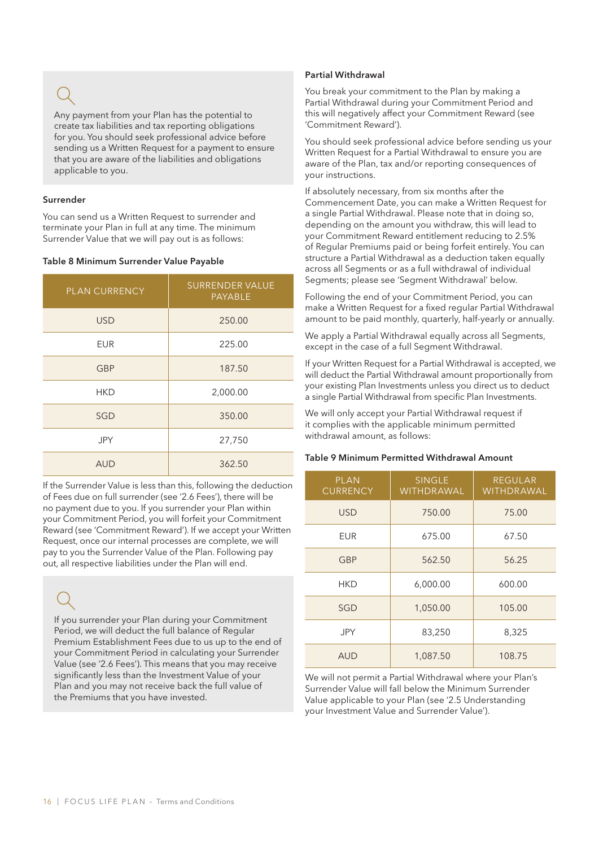Any payment from your Plan has the potential to create tax liabilities and tax reporting obligations for you. You should seek professional advice before sending us a Written Request for a payment to ensure that you are aware of the liabilities and obligations applicable to you.

#### Surrender

You can send us a Written Request to surrender and terminate your Plan in full at any time. The minimum Surrender Value that we will pay out is as follows:

#### Table 8 Minimum Surrender Value Payable

| <b>PLAN CURRENCY</b> | <b>SURRENDER VALUE</b><br><b>PAYABLE</b> |
|----------------------|------------------------------------------|
| <b>USD</b>           | 250.00                                   |
| EUR                  | 225.00                                   |
| <b>GBP</b>           | 187.50                                   |
| <b>HKD</b>           | 2,000.00                                 |
| SGD                  | 350.00                                   |
| JPY                  | 27,750                                   |
| <b>AUD</b>           | 362.50                                   |

If the Surrender Value is less than this, following the deduction of Fees due on full surrender (see '2.6 Fees'), there will be no payment due to you. If you surrender your Plan within your Commitment Period, you will forfeit your Commitment Reward (see 'Commitment Reward'). If we accept your Written Request, once our internal processes are complete, we will pay to you the Surrender Value of the Plan. Following pay out, all respective liabilities under the Plan will end.

If you surrender your Plan during your Commitment Period, we will deduct the full balance of Regular Premium Establishment Fees due to us up to the end of your Commitment Period in calculating your Surrender Value (see '2.6 Fees'). This means that you may receive significantly less than the Investment Value of your Plan and you may not receive back the full value of the Premiums that you have invested.

### Partial Withdrawal

You break your commitment to the Plan by making a Partial Withdrawal during your Commitment Period and this will negatively affect your Commitment Reward (see 'Commitment Reward').

You should seek professional advice before sending us your Written Request for a Partial Withdrawal to ensure you are aware of the Plan, tax and/or reporting consequences of your instructions.

If absolutely necessary, from six months after the Commencement Date, you can make a Written Request for a single Partial Withdrawal. Please note that in doing so, depending on the amount you withdraw, this will lead to your Commitment Reward entitlement reducing to 2.5% of Regular Premiums paid or being forfeit entirely. You can structure a Partial Withdrawal as a deduction taken equally across all Segments or as a full withdrawal of individual Segments; please see 'Segment Withdrawal' below.

Following the end of your Commitment Period, you can make a Written Request for a fixed regular Partial Withdrawal amount to be paid monthly, quarterly, half-yearly or annually.

We apply a Partial Withdrawal equally across all Segments, except in the case of a full Segment Withdrawal.

If your Written Request for a Partial Withdrawal is accepted, we will deduct the Partial Withdrawal amount proportionally from your existing Plan Investments unless you direct us to deduct a single Partial Withdrawal from specific Plan Investments.

We will only accept your Partial Withdrawal request if it complies with the applicable minimum permitted withdrawal amount, as follows:

### Table 9 Minimum Permitted Withdrawal Amount

| <b>PLAN</b><br><b>CURRENCY</b> | <b>SINGLE</b><br><b>WITHDRAWAL</b> | <b>REGULAR</b><br><b>WITHDRAWAL</b> |
|--------------------------------|------------------------------------|-------------------------------------|
| <b>USD</b>                     | 750.00                             | 75.00                               |
| EUR                            | 675.00                             | 67.50                               |
| GBP                            | 562.50                             | 56.25                               |
| HKD                            | 6,000.00                           | 600.00                              |
| SGD                            | 1,050.00                           | 105.00                              |
| <b>JPY</b>                     | 83,250                             | 8,325                               |
| <b>AUD</b>                     | 1,087.50                           | 108.75                              |

We will not permit a Partial Withdrawal where your Plan's Surrender Value will fall below the Minimum Surrender Value applicable to your Plan (see '2.5 Understanding your Investment Value and Surrender Value').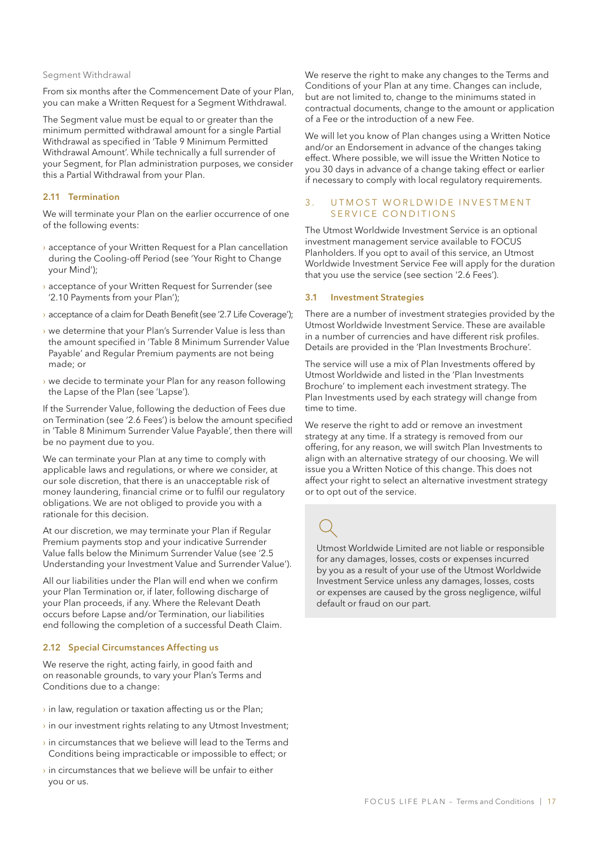#### Segment Withdrawal

From six months after the Commencement Date of your Plan, you can make a Written Request for a Segment Withdrawal.

The Segment value must be equal to or greater than the minimum permitted withdrawal amount for a single Partial Withdrawal as specified in 'Table 9 Minimum Permitted Withdrawal Amount'. While technically a full surrender of your Segment, for Plan administration purposes, we consider this a Partial Withdrawal from your Plan.

### 2.11 Termination

We will terminate your Plan on the earlier occurrence of one of the following events:

- › acceptance of your Written Request for a Plan cancellation during the Cooling-off Period (see 'Your Right to Change your Mind');
- › acceptance of your Written Request for Surrender (see '2.10 Payments from your Plan');
- › acceptance of a claim for Death Benefit (see '2.7 Life Coverage');
- › we determine that your Plan's Surrender Value is less than the amount specified in 'Table 8 Minimum Surrender Value Payable' and Regular Premium payments are not being made; or
- › we decide to terminate your Plan for any reason following the Lapse of the Plan (see 'Lapse').

If the Surrender Value, following the deduction of Fees due on Termination (see '2.6 Fees') is below the amount specified in 'Table 8 Minimum Surrender Value Payable', then there will be no payment due to you.

We can terminate your Plan at any time to comply with applicable laws and regulations, or where we consider, at our sole discretion, that there is an unacceptable risk of money laundering, financial crime or to fulfil our regulatory obligations. We are not obliged to provide you with a rationale for this decision.

At our discretion, we may terminate your Plan if Regular Premium payments stop and your indicative Surrender Value falls below the Minimum Surrender Value (see '2.5 Understanding your Investment Value and Surrender Value').

All our liabilities under the Plan will end when we confirm your Plan Termination or, if later, following discharge of your Plan proceeds, if any. Where the Relevant Death occurs before Lapse and/or Termination, our liabilities end following the completion of a successful Death Claim.

#### 2.12 Special Circumstances Affecting us

We reserve the right, acting fairly, in good faith and on reasonable grounds, to vary your Plan's Terms and Conditions due to a change:

- $\rightarrow$  in law, regulation or taxation affecting us or the Plan;
- $\rightarrow$  in our investment rights relating to any Utmost Investment;
- $\rightarrow$  in circumstances that we believe will lead to the Terms and Conditions being impracticable or impossible to effect; or
- $\rightarrow$  in circumstances that we believe will be unfair to either you or us.

We reserve the right to make any changes to the Terms and Conditions of your Plan at any time. Changes can include, but are not limited to, change to the minimums stated in contractual documents, change to the amount or application of a Fee or the introduction of a new Fee.

We will let you know of Plan changes using a Written Notice and/or an Endorsement in advance of the changes taking effect. Where possible, we will issue the Written Notice to you 30 days in advance of a change taking effect or earlier if necessary to comply with local regulatory requirements.

#### 3. UTMOST WORLDWIDE INVESTMENT SERVICE CONDITIONS

The Utmost Worldwide Investment Service is an optional investment management service available to FOCUS Planholders. If you opt to avail of this service, an Utmost Worldwide Investment Service Fee will apply for the duration that you use the service (see section '2.6 Fees').

#### 3.1 Investment Strategies

There are a number of investment strategies provided by the Utmost Worldwide Investment Service. These are available in a number of currencies and have different risk profiles. Details are provided in the 'Plan Investments Brochure'.

The service will use a mix of Plan Investments offered by Utmost Worldwide and listed in the 'Plan Investments Brochure' to implement each investment strategy. The Plan Investments used by each strategy will change from time to time.

We reserve the right to add or remove an investment strategy at any time. If a strategy is removed from our offering, for any reason, we will switch Plan Investments to align with an alternative strategy of our choosing. We will issue you a Written Notice of this change. This does not affect your right to select an alternative investment strategy or to opt out of the service.

Utmost Worldwide Limited are not liable or responsible for any damages, losses, costs or expenses incurred by you as a result of your use of the Utmost Worldwide Investment Service unless any damages, losses, costs or expenses are caused by the gross negligence, wilful default or fraud on our part.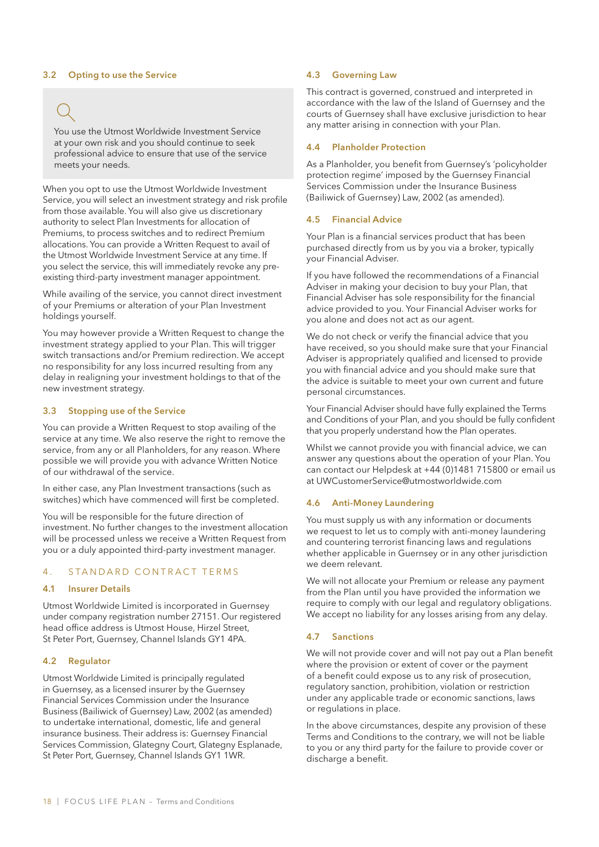#### 3.2 Opting to use the Service

You use the Utmost Worldwide Investment Service at your own risk and you should continue to seek professional advice to ensure that use of the service meets your needs.

When you opt to use the Utmost Worldwide Investment Service, you will select an investment strategy and risk profile from those available. You will also give us discretionary authority to select Plan Investments for allocation of Premiums, to process switches and to redirect Premium allocations. You can provide a Written Request to avail of the Utmost Worldwide Investment Service at any time. If you select the service, this will immediately revoke any preexisting third-party investment manager appointment.

While availing of the service, you cannot direct investment of your Premiums or alteration of your Plan Investment holdings yourself.

You may however provide a Written Request to change the investment strategy applied to your Plan. This will trigger switch transactions and/or Premium redirection. We accept no responsibility for any loss incurred resulting from any delay in realigning your investment holdings to that of the new investment strategy.

#### 3.3 Stopping use of the Service

You can provide a Written Request to stop availing of the service at any time. We also reserve the right to remove the service, from any or all Planholders, for any reason. Where possible we will provide you with advance Written Notice of our withdrawal of the service.

In either case, any Plan Investment transactions (such as switches) which have commenced will first be completed.

You will be responsible for the future direction of investment. No further changes to the investment allocation will be processed unless we receive a Written Request from you or a duly appointed third-party investment manager.

### 4 . STANDARD CONTRACT TERMS

#### 4.1 Insurer Details

Utmost Worldwide Limited is incorporated in Guernsey under company registration number 27151. Our registered head office address is Utmost House, Hirzel Street, St Peter Port, Guernsey, Channel Islands GY1 4PA.

### 4.2 Regulator

Utmost Worldwide Limited is principally regulated in Guernsey, as a licensed insurer by the Guernsey Financial Services Commission under the Insurance Business (Bailiwick of Guernsey) Law, 2002 (as amended) to undertake international, domestic, life and general insurance business. Their address is: Guernsey Financial Services Commission, Glategny Court, Glategny Esplanade, St Peter Port, Guernsey, Channel Islands GY1 1WR.

#### 4.3 Governing Law

This contract is governed, construed and interpreted in accordance with the law of the Island of Guernsey and the courts of Guernsey shall have exclusive jurisdiction to hear any matter arising in connection with your Plan.

### 4.4 Planholder Protection

As a Planholder, you benefit from Guernsey's 'policyholder protection regime' imposed by the Guernsey Financial Services Commission under the Insurance Business (Bailiwick of Guernsey) Law, 2002 (as amended).

#### 4.5 Financial Advice

Your Plan is a financial services product that has been purchased directly from us by you via a broker, typically your Financial Adviser.

If you have followed the recommendations of a Financial Adviser in making your decision to buy your Plan, that Financial Adviser has sole responsibility for the financial advice provided to you. Your Financial Adviser works for you alone and does not act as our agent.

We do not check or verify the financial advice that you have received, so you should make sure that your Financial Adviser is appropriately qualified and licensed to provide you with financial advice and you should make sure that the advice is suitable to meet your own current and future personal circumstances.

Your Financial Adviser should have fully explained the Terms and Conditions of your Plan, and you should be fully confident that you properly understand how the Plan operates.

Whilst we cannot provide you with financial advice, we can answer any questions about the operation of your Plan. You can contact our Helpdesk at +44 (0)1481 715800 or email us at UWCustomerService@utmostworldwide.com

#### 4.6 Anti-Money Laundering

You must supply us with any information or documents we request to let us to comply with anti-money laundering and countering terrorist financing laws and regulations whether applicable in Guernsey or in any other jurisdiction we deem relevant.

We will not allocate your Premium or release any payment from the Plan until you have provided the information we require to comply with our legal and regulatory obligations. We accept no liability for any losses arising from any delay.

#### 4.7 Sanctions

We will not provide cover and will not pay out a Plan benefit where the provision or extent of cover or the payment of a benefit could expose us to any risk of prosecution, regulatory sanction, prohibition, violation or restriction under any applicable trade or economic sanctions, laws or regulations in place.

In the above circumstances, despite any provision of these Terms and Conditions to the contrary, we will not be liable to you or any third party for the failure to provide cover or discharge a benefit.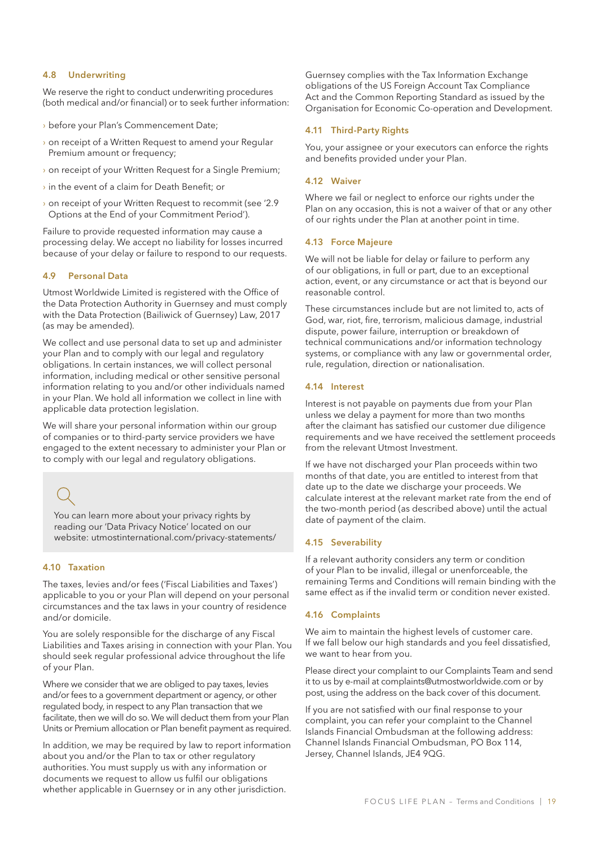#### 4.8 Underwriting

We reserve the right to conduct underwriting procedures (both medical and/or financial) or to seek further information:

- › before your Plan's Commencement Date;
- $\rightarrow$  on receipt of a Written Request to amend your Regular Premium amount or frequency;
- › on receipt of your Written Request for a Single Premium;
- › in the event of a claim for Death Benefit; or
- › on receipt of your Written Request to recommit (see '2.9 Options at the End of your Commitment Period').

Failure to provide requested information may cause a processing delay. We accept no liability for losses incurred because of your delay or failure to respond to our requests.

#### 4.9 Personal Data

Utmost Worldwide Limited is registered with the Office of the Data Protection Authority in Guernsey and must comply with the Data Protection (Bailiwick of Guernsey) Law, 2017 (as may be amended).

We collect and use personal data to set up and administer your Plan and to comply with our legal and regulatory obligations. In certain instances, we will collect personal information, including medical or other sensitive personal information relating to you and/or other individuals named in your Plan. We hold all information we collect in line with applicable data protection legislation.

We will share your personal information within our group of companies or to third-party service providers we have engaged to the extent necessary to administer your Plan or to comply with our legal and regulatory obligations.

You can learn more about your privacy rights by reading our 'Data Privacy Notice' located on our website: utmostinternational.com/privacy-statements/

### 4.10 Taxation

The taxes, levies and/or fees ('Fiscal Liabilities and Taxes') applicable to you or your Plan will depend on your personal circumstances and the tax laws in your country of residence and/or domicile.

You are solely responsible for the discharge of any Fiscal Liabilities and Taxes arising in connection with your Plan. You should seek regular professional advice throughout the life of your Plan.

Where we consider that we are obliged to pay taxes, levies and/or fees to a government department or agency, or other regulated body, in respect to any Plan transaction that we facilitate, then we will do so. We will deduct them from your Plan Units or Premium allocation or Plan benefit payment as required.

In addition, we may be required by law to report information about you and/or the Plan to tax or other regulatory authorities. You must supply us with any information or documents we request to allow us fulfil our obligations whether applicable in Guernsey or in any other jurisdiction.

Guernsey complies with the Tax Information Exchange obligations of the US Foreign Account Tax Compliance Act and the Common Reporting Standard as issued by the Organisation for Economic Co-operation and Development.

#### 4.11 Third-Party Rights

You, your assignee or your executors can enforce the rights and benefits provided under your Plan.

#### 4.12 Waiver

Where we fail or neglect to enforce our rights under the Plan on any occasion, this is not a waiver of that or any other of our rights under the Plan at another point in time.

#### 4.13 Force Majeure

We will not be liable for delay or failure to perform any of our obligations, in full or part, due to an exceptional action, event, or any circumstance or act that is beyond our reasonable control.

These circumstances include but are not limited to, acts of God, war, riot, fire, terrorism, malicious damage, industrial dispute, power failure, interruption or breakdown of technical communications and/or information technology systems, or compliance with any law or governmental order, rule, regulation, direction or nationalisation.

### 4.14 Interest

Interest is not payable on payments due from your Plan unless we delay a payment for more than two months after the claimant has satisfied our customer due diligence requirements and we have received the settlement proceeds from the relevant Utmost Investment.

If we have not discharged your Plan proceeds within two months of that date, you are entitled to interest from that date up to the date we discharge your proceeds. We calculate interest at the relevant market rate from the end of the two-month period (as described above) until the actual date of payment of the claim.

### 4.15 Severability

If a relevant authority considers any term or condition of your Plan to be invalid, illegal or unenforceable, the remaining Terms and Conditions will remain binding with the same effect as if the invalid term or condition never existed.

### 4.16 Complaints

We aim to maintain the highest levels of customer care. If we fall below our high standards and you feel dissatisfied, we want to hear from you.

Please direct your complaint to our Complaints Team and send it to us by e-mail at complaints@utmostworldwide.com or by post, using the address on the back cover of this document.

If you are not satisfied with our final response to your complaint, you can refer your complaint to the Channel Islands Financial Ombudsman at the following address: Channel Islands Financial Ombudsman, PO Box 114, Jersey, Channel Islands, JE4 9QG.